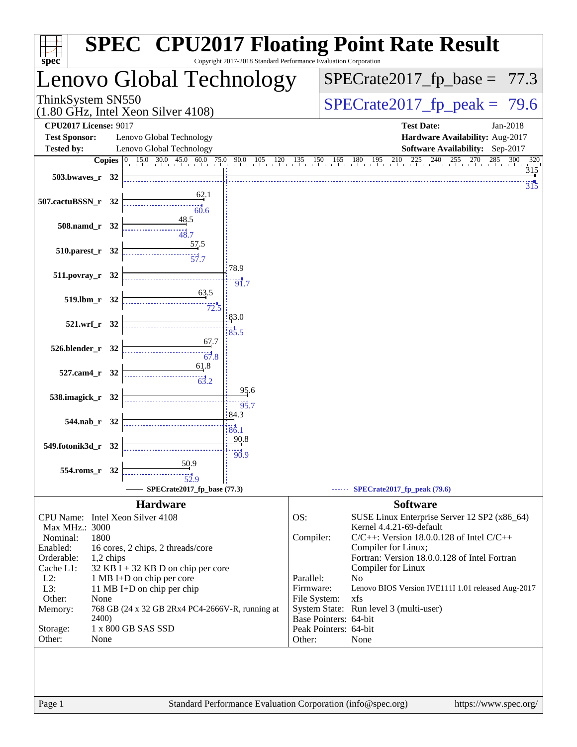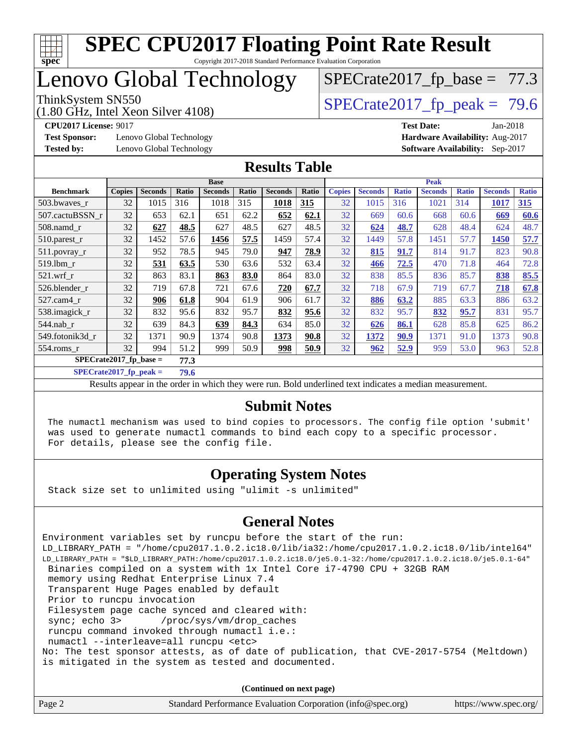

# Lenovo Global Technology

(1.80 GHz, Intel Xeon Silver 4108)

ThinkSystem SN550<br>(1.80 GHz, Intel Xeon Silver 4108)  $\vert$  [SPECrate2017\\_fp\\_peak =](http://www.spec.org/auto/cpu2017/Docs/result-fields.html#SPECrate2017fppeak) 79.6

 $SPECTate2017_fp\_base = 77.3$ 

**[Test Sponsor:](http://www.spec.org/auto/cpu2017/Docs/result-fields.html#TestSponsor)** Lenovo Global Technology **[Hardware Availability:](http://www.spec.org/auto/cpu2017/Docs/result-fields.html#HardwareAvailability)** Aug-2017

**[CPU2017 License:](http://www.spec.org/auto/cpu2017/Docs/result-fields.html#CPU2017License)** 9017 **[Test Date:](http://www.spec.org/auto/cpu2017/Docs/result-fields.html#TestDate)** Jan-2018 **[Tested by:](http://www.spec.org/auto/cpu2017/Docs/result-fields.html#Testedby)** Lenovo Global Technology **[Software Availability:](http://www.spec.org/auto/cpu2017/Docs/result-fields.html#SoftwareAvailability)** Sep-2017

#### **[Results Table](http://www.spec.org/auto/cpu2017/Docs/result-fields.html#ResultsTable)**

|                          | <b>Base</b>   |                |       |                | <b>Peak</b> |                |       |               |                |              |                |              |                |              |
|--------------------------|---------------|----------------|-------|----------------|-------------|----------------|-------|---------------|----------------|--------------|----------------|--------------|----------------|--------------|
| <b>Benchmark</b>         | <b>Copies</b> | <b>Seconds</b> | Ratio | <b>Seconds</b> | Ratio       | <b>Seconds</b> | Ratio | <b>Copies</b> | <b>Seconds</b> | <b>Ratio</b> | <b>Seconds</b> | <b>Ratio</b> | <b>Seconds</b> | <b>Ratio</b> |
| 503.bwayes_r             | 32            | 1015           | 316   | 1018           | 315         | 1018           | 315   | 32            | 1015           | 316          | 1021           | 314          | 1017           | 315          |
| 507.cactuBSSN r          | 32            | 653            | 62.1  | 651            | 62.2        | 652            | 62.1  | 32            | 669            | 60.6         | 668            | 60.6         | 669            | 60.6         |
| $508$ .namd $r$          | 32            | 627            | 48.5  | 627            | 48.5        | 627            | 48.5  | 32            | 624            | 48.7         | 628            | 48.4         | 624            | 48.7         |
| $510.parest_r$           | 32            | 1452           | 57.6  | 1456           | 57.5        | 1459           | 57.4  | 32            | 1449           | 57.8         | 1451           | 57.7         | 1450           | 57.7         |
| 511.povray_r             | 32            | 952            | 78.5  | 945            | 79.0        | 947            | 78.9  | 32            | 815            | 91.7         | 814            | 91.7         | 823            | 90.8         |
| $519$ .lbm $r$           | 32            | 531            | 63.5  | 530            | 63.6        | 532            | 63.4  | 32            | 466            | 72.5         | 470            | 71.8         | 464            | 72.8         |
| $521$ .wrf r             | 32            | 863            | 83.1  | 863            | 83.0        | 864            | 83.0  | 32            | 838            | 85.5         | 836            | 85.7         | 838            | 85.5         |
| 526.blender r            | 32            | 719            | 67.8  | 721            | 67.6        | 720            | 67.7  | 32            | 718            | 67.9         | 719            | 67.7         | 718            | 67.8         |
| 527.cam4 r               | 32            | 906            | 61.8  | 904            | 61.9        | 906            | 61.7  | 32            | 886            | 63.2         | 885            | 63.3         | 886            | 63.2         |
| 538.imagick_r            | 32            | 832            | 95.6  | 832            | 95.7        | 832            | 95.6  | 32            | 832            | 95.7         | 832            | 95.7         | 831            | 95.7         |
| $544$ .nab r             | 32            | 639            | 84.3  | 639            | 84.3        | 634            | 85.0  | 32            | 626            | 86.1         | 628            | 85.8         | 625            | 86.2         |
| 549.fotonik3d r          | 32            | 1371           | 90.9  | 1374           | 90.8        | 1373           | 90.8  | 32            | 1372           | 90.9         | 1371           | 91.0         | 1373           | 90.8         |
| 554.roms_r               | 32            | 994            | 51.2  | 999            | 50.9        | <u>998</u>     | 50.9  | 32            | 962            | <u>52.9</u>  | 959            | 53.0         | 963            | 52.8         |
| $SPECrate2017$ fp base = |               |                | 77.3  |                |             |                |       |               |                |              |                |              |                |              |

**[SPECrate2017\\_fp\\_peak =](http://www.spec.org/auto/cpu2017/Docs/result-fields.html#SPECrate2017fppeak) 79.6**

Results appear in the [order in which they were run.](http://www.spec.org/auto/cpu2017/Docs/result-fields.html#RunOrder) Bold underlined text [indicates a median measurement.](http://www.spec.org/auto/cpu2017/Docs/result-fields.html#Median)

#### **[Submit Notes](http://www.spec.org/auto/cpu2017/Docs/result-fields.html#SubmitNotes)**

 The numactl mechanism was used to bind copies to processors. The config file option 'submit' was used to generate numactl commands to bind each copy to a specific processor. For details, please see the config file.

### **[Operating System Notes](http://www.spec.org/auto/cpu2017/Docs/result-fields.html#OperatingSystemNotes)**

Stack size set to unlimited using "ulimit -s unlimited"

#### **[General Notes](http://www.spec.org/auto/cpu2017/Docs/result-fields.html#GeneralNotes)**

Environment variables set by runcpu before the start of the run: LD\_LIBRARY\_PATH = "/home/cpu2017.1.0.2.ic18.0/lib/ia32:/home/cpu2017.1.0.2.ic18.0/lib/intel64" LD\_LIBRARY\_PATH = "\$LD\_LIBRARY\_PATH:/home/cpu2017.1.0.2.ic18.0/je5.0.1-32:/home/cpu2017.1.0.2.ic18.0/je5.0.1-64" Binaries compiled on a system with 1x Intel Core i7-4790 CPU + 32GB RAM memory using Redhat Enterprise Linux 7.4 Transparent Huge Pages enabled by default Prior to runcpu invocation Filesystem page cache synced and cleared with: sync; echo 3> /proc/sys/vm/drop\_caches runcpu command invoked through numactl i.e.: numactl --interleave=all runcpu <etc> No: The test sponsor attests, as of date of publication, that CVE-2017-5754 (Meltdown) is mitigated in the system as tested and documented.

**(Continued on next page)**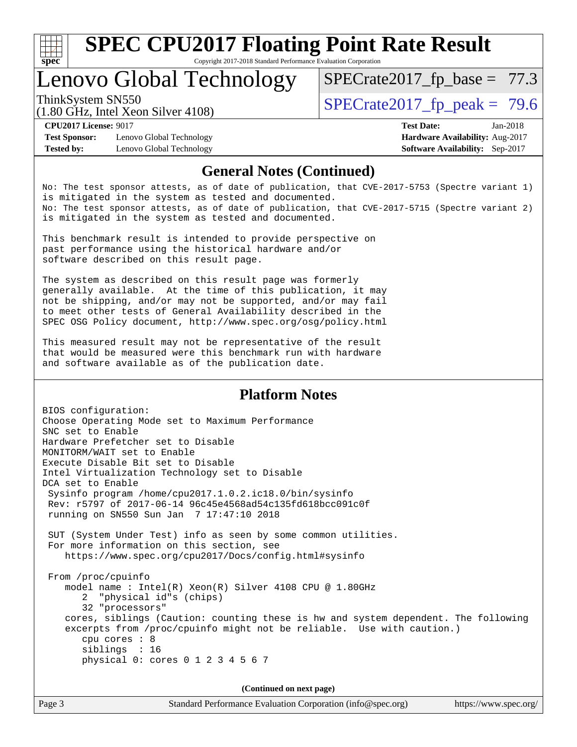

# **[SPEC CPU2017 Floating Point Rate Result](http://www.spec.org/auto/cpu2017/Docs/result-fields.html#SPECCPU2017FloatingPointRateResult)**

Copyright 2017-2018 Standard Performance Evaluation Corporation

# Lenovo Global Technology

ThinkSystem SN550<br>  $\text{SPECrate2017\_fp\_peak} = 79.6$  $SPECTate2017_fp\_base = 77.3$ 

(1.80 GHz, Intel Xeon Silver 4108)

**[Test Sponsor:](http://www.spec.org/auto/cpu2017/Docs/result-fields.html#TestSponsor)** Lenovo Global Technology **[Hardware Availability:](http://www.spec.org/auto/cpu2017/Docs/result-fields.html#HardwareAvailability)** Aug-2017 **[Tested by:](http://www.spec.org/auto/cpu2017/Docs/result-fields.html#Testedby)** Lenovo Global Technology **[Software Availability:](http://www.spec.org/auto/cpu2017/Docs/result-fields.html#SoftwareAvailability)** Sep-2017

**[CPU2017 License:](http://www.spec.org/auto/cpu2017/Docs/result-fields.html#CPU2017License)** 9017 **[Test Date:](http://www.spec.org/auto/cpu2017/Docs/result-fields.html#TestDate)** Jan-2018

#### **[General Notes \(Continued\)](http://www.spec.org/auto/cpu2017/Docs/result-fields.html#GeneralNotes)**

No: The test sponsor attests, as of date of publication, that CVE-2017-5753 (Spectre variant 1) is mitigated in the system as tested and documented. No: The test sponsor attests, as of date of publication, that CVE-2017-5715 (Spectre variant 2) is mitigated in the system as tested and documented.

This benchmark result is intended to provide perspective on past performance using the historical hardware and/or software described on this result page.

The system as described on this result page was formerly generally available. At the time of this publication, it may not be shipping, and/or may not be supported, and/or may fail to meet other tests of General Availability described in the SPEC OSG Policy document, <http://www.spec.org/osg/policy.html>

This measured result may not be representative of the result that would be measured were this benchmark run with hardware and software available as of the publication date.

#### **[Platform Notes](http://www.spec.org/auto/cpu2017/Docs/result-fields.html#PlatformNotes)**

BIOS configuration: Choose Operating Mode set to Maximum Performance SNC set to Enable Hardware Prefetcher set to Disable MONITORM/WAIT set to Enable Execute Disable Bit set to Disable Intel Virtualization Technology set to Disable DCA set to Enable Sysinfo program /home/cpu2017.1.0.2.ic18.0/bin/sysinfo Rev: r5797 of 2017-06-14 96c45e4568ad54c135fd618bcc091c0f running on SN550 Sun Jan 7 17:47:10 2018 SUT (System Under Test) info as seen by some common utilities. For more information on this section, see <https://www.spec.org/cpu2017/Docs/config.html#sysinfo> From /proc/cpuinfo model name : Intel(R) Xeon(R) Silver 4108 CPU @ 1.80GHz 2 "physical id"s (chips) 32 "processors" cores, siblings (Caution: counting these is hw and system dependent. The following excerpts from /proc/cpuinfo might not be reliable. Use with caution.) cpu cores : 8 siblings : 16 physical 0: cores 0 1 2 3 4 5 6 7

**(Continued on next page)**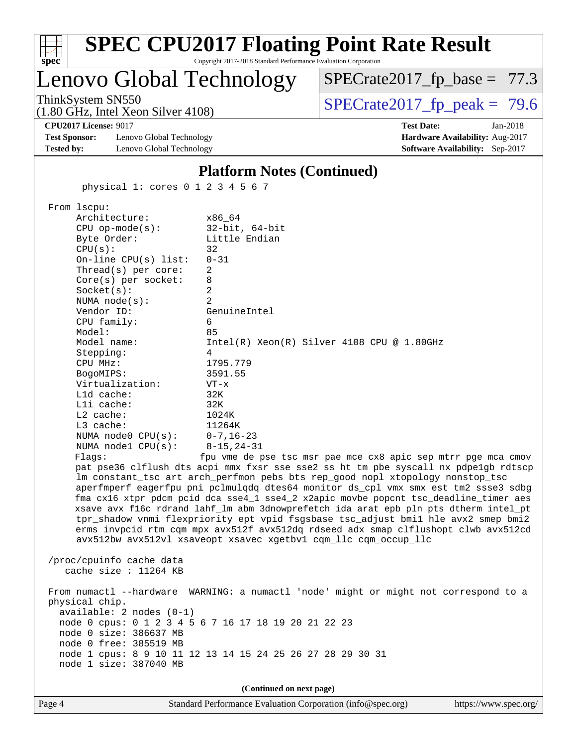| $spec^*$                                                                  | Copyright 2017-2018 Standard Performance Evaluation Corporation | <b>SPEC CPU2017 Floating Point Rate Result</b>                                                                                                                                                                                                                                                                                                                                                                                                                                                                                                                                                                                                                                         |  |  |  |
|---------------------------------------------------------------------------|-----------------------------------------------------------------|----------------------------------------------------------------------------------------------------------------------------------------------------------------------------------------------------------------------------------------------------------------------------------------------------------------------------------------------------------------------------------------------------------------------------------------------------------------------------------------------------------------------------------------------------------------------------------------------------------------------------------------------------------------------------------------|--|--|--|
| Lenovo Global Technology                                                  |                                                                 | $SPECrate2017_fp\_base = 77.3$                                                                                                                                                                                                                                                                                                                                                                                                                                                                                                                                                                                                                                                         |  |  |  |
| ThinkSystem SN550<br>$(1.80 \text{ GHz}, \text{Intel Xeon Silver } 4108)$ |                                                                 | $SPECTate2017$ _fp_peak = 79.6                                                                                                                                                                                                                                                                                                                                                                                                                                                                                                                                                                                                                                                         |  |  |  |
| <b>CPU2017 License: 9017</b>                                              |                                                                 | <b>Test Date:</b><br>Jan-2018                                                                                                                                                                                                                                                                                                                                                                                                                                                                                                                                                                                                                                                          |  |  |  |
| <b>Test Sponsor:</b><br>Lenovo Global Technology                          |                                                                 | Hardware Availability: Aug-2017                                                                                                                                                                                                                                                                                                                                                                                                                                                                                                                                                                                                                                                        |  |  |  |
| <b>Tested by:</b><br>Lenovo Global Technology                             |                                                                 | Software Availability: Sep-2017                                                                                                                                                                                                                                                                                                                                                                                                                                                                                                                                                                                                                                                        |  |  |  |
|                                                                           | <b>Platform Notes (Continued)</b>                               |                                                                                                                                                                                                                                                                                                                                                                                                                                                                                                                                                                                                                                                                                        |  |  |  |
|                                                                           | physical 1: cores 0 1 2 3 4 5 6 7                               |                                                                                                                                                                                                                                                                                                                                                                                                                                                                                                                                                                                                                                                                                        |  |  |  |
| From lscpu:<br>Architecture:                                              | x86 64                                                          |                                                                                                                                                                                                                                                                                                                                                                                                                                                                                                                                                                                                                                                                                        |  |  |  |
| $CPU$ op-mode( $s$ ):<br>Byte Order:                                      | $32$ -bit, $64$ -bit<br>Little Endian                           |                                                                                                                                                                                                                                                                                                                                                                                                                                                                                                                                                                                                                                                                                        |  |  |  |
| CPU(s):                                                                   | 32                                                              |                                                                                                                                                                                                                                                                                                                                                                                                                                                                                                                                                                                                                                                                                        |  |  |  |
| On-line $CPU(s)$ list:                                                    | $0 - 31$                                                        |                                                                                                                                                                                                                                                                                                                                                                                                                                                                                                                                                                                                                                                                                        |  |  |  |
| Thread(s) per core:                                                       | 2                                                               |                                                                                                                                                                                                                                                                                                                                                                                                                                                                                                                                                                                                                                                                                        |  |  |  |
| Core(s) per socket:<br>Socket(s):                                         | 8<br>2                                                          |                                                                                                                                                                                                                                                                                                                                                                                                                                                                                                                                                                                                                                                                                        |  |  |  |
| NUMA $node(s):$                                                           | 2                                                               |                                                                                                                                                                                                                                                                                                                                                                                                                                                                                                                                                                                                                                                                                        |  |  |  |
| Vendor ID:                                                                | GenuineIntel                                                    |                                                                                                                                                                                                                                                                                                                                                                                                                                                                                                                                                                                                                                                                                        |  |  |  |
| CPU family:<br>Model:                                                     | 6<br>85                                                         |                                                                                                                                                                                                                                                                                                                                                                                                                                                                                                                                                                                                                                                                                        |  |  |  |
| Model name:                                                               |                                                                 | $Intel(R) Xeon(R) Silver 4108 CPU @ 1.80GHz$                                                                                                                                                                                                                                                                                                                                                                                                                                                                                                                                                                                                                                           |  |  |  |
| Stepping:                                                                 | 4                                                               |                                                                                                                                                                                                                                                                                                                                                                                                                                                                                                                                                                                                                                                                                        |  |  |  |
| CPU MHz:                                                                  | 1795.779                                                        |                                                                                                                                                                                                                                                                                                                                                                                                                                                                                                                                                                                                                                                                                        |  |  |  |
| BogoMIPS:<br>Virtualization:                                              | 3591.55<br>$VT - x$                                             |                                                                                                                                                                                                                                                                                                                                                                                                                                                                                                                                                                                                                                                                                        |  |  |  |
| Lld cache:                                                                | 32K                                                             |                                                                                                                                                                                                                                                                                                                                                                                                                                                                                                                                                                                                                                                                                        |  |  |  |
| Lli cache:                                                                | 32K                                                             |                                                                                                                                                                                                                                                                                                                                                                                                                                                                                                                                                                                                                                                                                        |  |  |  |
| L2 cache:<br>L3 cache:                                                    | 1024K<br>11264K                                                 |                                                                                                                                                                                                                                                                                                                                                                                                                                                                                                                                                                                                                                                                                        |  |  |  |
| NUMA node0 CPU(s):                                                        | $0 - 7, 16 - 23$                                                |                                                                                                                                                                                                                                                                                                                                                                                                                                                                                                                                                                                                                                                                                        |  |  |  |
| NUMA nodel CPU(s):                                                        | $8 - 15, 24 - 31$                                               |                                                                                                                                                                                                                                                                                                                                                                                                                                                                                                                                                                                                                                                                                        |  |  |  |
| Flaqs:                                                                    | avx512bw avx512vl xsaveopt xsavec xgetbvl cqm_llc cqm_occup_llc | fpu vme de pse tsc msr pae mce cx8 apic sep mtrr pge mca cmov<br>pat pse36 clflush dts acpi mmx fxsr sse sse2 ss ht tm pbe syscall nx pdpelgb rdtscp<br>lm constant_tsc art arch_perfmon pebs bts rep_good nopl xtopology nonstop_tsc<br>aperfmperf eagerfpu pni pclmulqdq dtes64 monitor ds_cpl vmx smx est tm2 ssse3 sdbg<br>fma cx16 xtpr pdcm pcid dca sse4_1 sse4_2 x2apic movbe popcnt tsc_deadline_timer aes<br>xsave avx f16c rdrand lahf_lm abm 3dnowprefetch ida arat epb pln pts dtherm intel_pt<br>tpr_shadow vnmi flexpriority ept vpid fsgsbase tsc_adjust bmil hle avx2 smep bmi2<br>erms invpcid rtm cqm mpx avx512f avx512dq rdseed adx smap clflushopt clwb avx512cd |  |  |  |
| /proc/cpuinfo cache data<br>cache size : 11264 KB                         |                                                                 |                                                                                                                                                                                                                                                                                                                                                                                                                                                                                                                                                                                                                                                                                        |  |  |  |
|                                                                           |                                                                 | From numactl --hardware WARNING: a numactl 'node' might or might not correspond to a                                                                                                                                                                                                                                                                                                                                                                                                                                                                                                                                                                                                   |  |  |  |
| physical chip.<br>$available: 2 nodes (0-1)$                              |                                                                 |                                                                                                                                                                                                                                                                                                                                                                                                                                                                                                                                                                                                                                                                                        |  |  |  |
|                                                                           | node 0 cpus: 0 1 2 3 4 5 6 7 16 17 18 19 20 21 22 23            |                                                                                                                                                                                                                                                                                                                                                                                                                                                                                                                                                                                                                                                                                        |  |  |  |
| node 0 size: 386637 MB                                                    |                                                                 |                                                                                                                                                                                                                                                                                                                                                                                                                                                                                                                                                                                                                                                                                        |  |  |  |
| node 0 free: 385519 MB                                                    |                                                                 |                                                                                                                                                                                                                                                                                                                                                                                                                                                                                                                                                                                                                                                                                        |  |  |  |
| node 1 size: 387040 MB                                                    | node 1 cpus: 8 9 10 11 12 13 14 15 24 25 26 27 28 29 30 31      |                                                                                                                                                                                                                                                                                                                                                                                                                                                                                                                                                                                                                                                                                        |  |  |  |
|                                                                           |                                                                 |                                                                                                                                                                                                                                                                                                                                                                                                                                                                                                                                                                                                                                                                                        |  |  |  |
|                                                                           | (Continued on next page)                                        |                                                                                                                                                                                                                                                                                                                                                                                                                                                                                                                                                                                                                                                                                        |  |  |  |

Page 4 Standard Performance Evaluation Corporation [\(info@spec.org\)](mailto:info@spec.org) <https://www.spec.org/>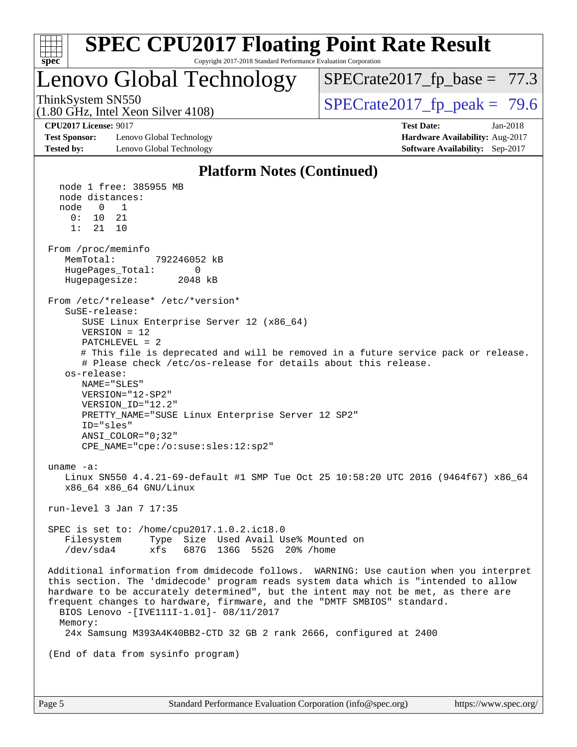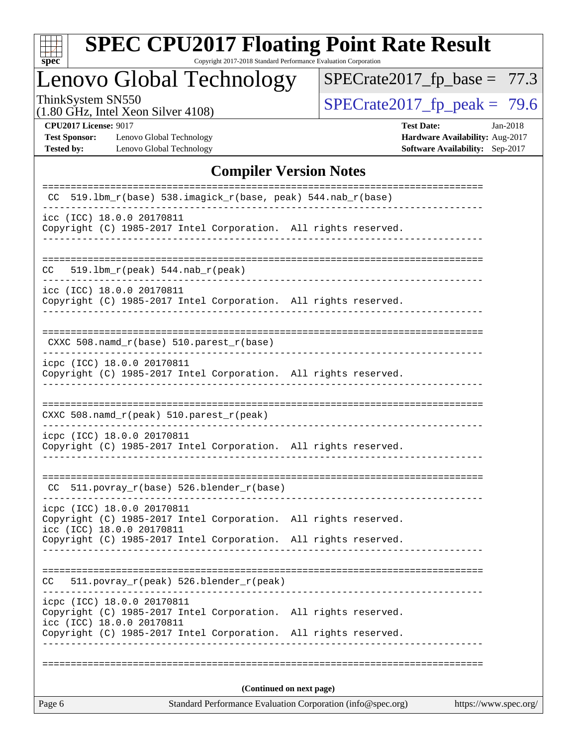

# **[SPEC CPU2017 Floating Point Rate Result](http://www.spec.org/auto/cpu2017/Docs/result-fields.html#SPECCPU2017FloatingPointRateResult)**

Copyright 2017-2018 Standard Performance Evaluation Corporation

# Lenovo Global Technology

 $SPECrate2017_fp\_base = 77.3$ 

(1.80 GHz, Intel Xeon Silver 4108)

ThinkSystem SN550<br>(1.80 GHz, Intel Xeon Silver 4108) [SPECrate2017\\_fp\\_peak =](http://www.spec.org/auto/cpu2017/Docs/result-fields.html#SPECrate2017fppeak)  $\sqrt{79.6}$ 

**[Test Sponsor:](http://www.spec.org/auto/cpu2017/Docs/result-fields.html#TestSponsor)** Lenovo Global Technology **[Hardware Availability:](http://www.spec.org/auto/cpu2017/Docs/result-fields.html#HardwareAvailability)** Aug-2017 **[Tested by:](http://www.spec.org/auto/cpu2017/Docs/result-fields.html#Testedby)** Lenovo Global Technology **[Software Availability:](http://www.spec.org/auto/cpu2017/Docs/result-fields.html#SoftwareAvailability)** Sep-2017

**[CPU2017 License:](http://www.spec.org/auto/cpu2017/Docs/result-fields.html#CPU2017License)** 9017 **[Test Date:](http://www.spec.org/auto/cpu2017/Docs/result-fields.html#TestDate)** Jan-2018

#### **[Compiler Version Notes](http://www.spec.org/auto/cpu2017/Docs/result-fields.html#CompilerVersionNotes)**

| Standard Performance Evaluation Corporation (info@spec.org)<br>https://www.spec.org/<br>Page 6 |                                                         |                                            |                                                                                         |  |  |  |
|------------------------------------------------------------------------------------------------|---------------------------------------------------------|--------------------------------------------|-----------------------------------------------------------------------------------------|--|--|--|
| (Continued on next page)                                                                       |                                                         |                                            |                                                                                         |  |  |  |
|                                                                                                |                                                         |                                            |                                                                                         |  |  |  |
|                                                                                                | icc (ICC) 18.0.0 20170811                               | Copyright (C) 1985-2017 Intel Corporation. | Copyright (C) 1985-2017 Intel Corporation. All rights reserved.<br>All rights reserved. |  |  |  |
|                                                                                                | icpc (ICC) 18.0.0 20170811                              |                                            | --------------------------                                                              |  |  |  |
| CC.                                                                                            |                                                         | 511.povray_r(peak) 526.blender_r(peak)     |                                                                                         |  |  |  |
|                                                                                                |                                                         |                                            | Copyright (C) 1985-2017 Intel Corporation. All rights reserved.                         |  |  |  |
|                                                                                                | icpc (ICC) 18.0.0 20170811<br>icc (ICC) 18.0.0 20170811 |                                            | Copyright (C) 1985-2017 Intel Corporation. All rights reserved.                         |  |  |  |
|                                                                                                |                                                         | CC 511.povray_r(base) 526.blender_r(base)  |                                                                                         |  |  |  |
|                                                                                                | icpc (ICC) 18.0.0 20170811                              |                                            | Copyright (C) 1985-2017 Intel Corporation. All rights reserved.                         |  |  |  |
|                                                                                                | CXXC 508.namd_r(peak) 510.parest_r(peak)                |                                            |                                                                                         |  |  |  |
|                                                                                                |                                                         |                                            |                                                                                         |  |  |  |
|                                                                                                | icpc (ICC) 18.0.0 20170811                              |                                            | Copyright (C) 1985-2017 Intel Corporation. All rights reserved.                         |  |  |  |
|                                                                                                |                                                         | CXXC 508.namd_r(base) 510.parest_r(base)   |                                                                                         |  |  |  |
|                                                                                                | icc (ICC) 18.0.0 20170811                               |                                            | Copyright (C) 1985-2017 Intel Corporation. All rights reserved.                         |  |  |  |
| CC.                                                                                            | $519.1bm_r(peak) 544.nab_r(peak)$                       |                                            |                                                                                         |  |  |  |
|                                                                                                | icc (ICC) 18.0.0 20170811                               |                                            | Copyright (C) 1985-2017 Intel Corporation. All rights reserved.                         |  |  |  |
| CC.                                                                                            |                                                         |                                            | 519.1bm_r(base) 538.imagick_r(base, peak) 544.nab_r(base)                               |  |  |  |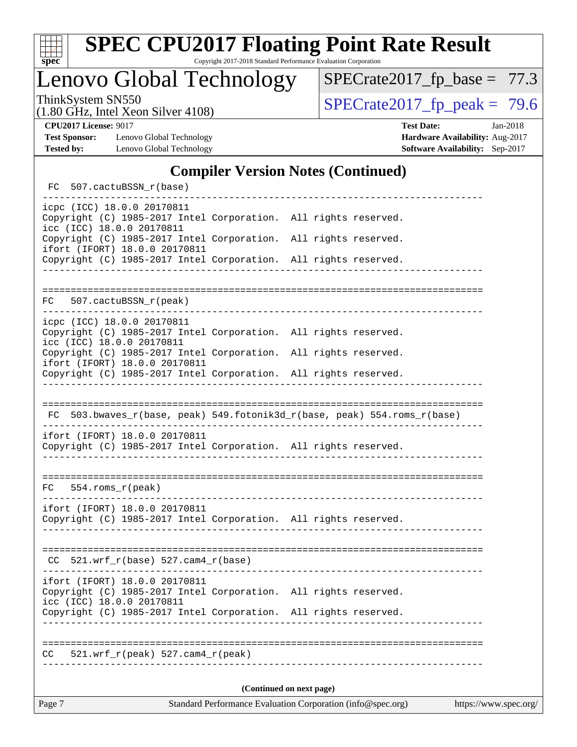

Lenovo Global Technology

ThinkSystem SN550<br>  $(1.80 \text{ GHz. Intel Yoon Silver } 4108)$   $\text{SPECrate} 2017 \text{ fp. peak} = 79.6$  $SPECrate2017_fp\_base = 77.3$ 

(1.80 GHz, Intel Xeon Silver 4108)

**[CPU2017 License:](http://www.spec.org/auto/cpu2017/Docs/result-fields.html#CPU2017License)** 9017 **[Test Date:](http://www.spec.org/auto/cpu2017/Docs/result-fields.html#TestDate)** Jan-2018

**[Test Sponsor:](http://www.spec.org/auto/cpu2017/Docs/result-fields.html#TestSponsor)** Lenovo Global Technology **[Hardware Availability:](http://www.spec.org/auto/cpu2017/Docs/result-fields.html#HardwareAvailability)** Aug-2017

**[Tested by:](http://www.spec.org/auto/cpu2017/Docs/result-fields.html#Testedby)** Lenovo Global Technology **[Software Availability:](http://www.spec.org/auto/cpu2017/Docs/result-fields.html#SoftwareAvailability)** Sep-2017

### **[Compiler Version Notes \(Continued\)](http://www.spec.org/auto/cpu2017/Docs/result-fields.html#CompilerVersionNotes)**

FC 507.cactuBSSN r(base) ----------------------------------------------------------------------------- icpc (ICC) 18.0.0 20170811 Copyright (C) 1985-2017 Intel Corporation. All rights reserved. icc (ICC) 18.0.0 20170811 Copyright (C) 1985-2017 Intel Corporation. All rights reserved. ifort (IFORT) 18.0.0 20170811 Copyright (C) 1985-2017 Intel Corporation. All rights reserved. ------------------------------------------------------------------------------ ============================================================================== FC 507.cactuBSSN\_r(peak) ----------------------------------------------------------------------------- icpc (ICC) 18.0.0 20170811 Copyright (C) 1985-2017 Intel Corporation. All rights reserved. icc (ICC) 18.0.0 20170811 Copyright (C) 1985-2017 Intel Corporation. All rights reserved. ifort (IFORT) 18.0.0 20170811 Copyright (C) 1985-2017 Intel Corporation. All rights reserved. ------------------------------------------------------------------------------ ============================================================================== FC 503.bwaves\_r(base, peak) 549.fotonik3d\_r(base, peak) 554.roms\_r(base) ----------------------------------------------------------------------------- ifort (IFORT) 18.0.0 20170811 Copyright (C) 1985-2017 Intel Corporation. All rights reserved. ------------------------------------------------------------------------------ ============================================================================== FC 554.roms\_r(peak) ----------------------------------------------------------------------------- ifort (IFORT) 18.0.0 20170811 Copyright (C) 1985-2017 Intel Corporation. All rights reserved. ------------------------------------------------------------------------------ ==============================================================================  $CC$  521.wrf $_r(base)$  527.cam $4_r(base)$ ----------------------------------------------------------------------------- ifort (IFORT) 18.0.0 20170811 Copyright (C) 1985-2017 Intel Corporation. All rights reserved. icc (ICC) 18.0.0 20170811 Copyright (C) 1985-2017 Intel Corporation. All rights reserved. ------------------------------------------------------------------------------ ============================================================================== CC 521.wrf\_r(peak) 527.cam4\_r(peak) ------------------------------------------------------------------------------ **(Continued on next page)**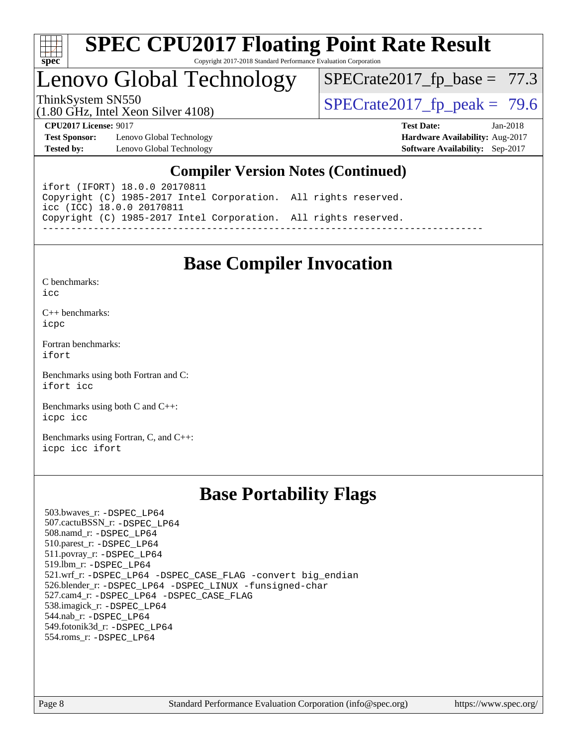

# Lenovo Global Technology

 $SPECrate2017_fp\_base = 77.3$ 

(1.80 GHz, Intel Xeon Silver 4108)

ThinkSystem SN550<br>(1.80 GHz, Intel Xeon Silver 4108)  $\begin{array}{r} | \text{SPECrate2017\_fp\_peak} = 79.6 \end{array}$ 

**[Test Sponsor:](http://www.spec.org/auto/cpu2017/Docs/result-fields.html#TestSponsor)** Lenovo Global Technology **[Hardware Availability:](http://www.spec.org/auto/cpu2017/Docs/result-fields.html#HardwareAvailability)** Aug-2017 **[Tested by:](http://www.spec.org/auto/cpu2017/Docs/result-fields.html#Testedby)** Lenovo Global Technology **[Software Availability:](http://www.spec.org/auto/cpu2017/Docs/result-fields.html#SoftwareAvailability)** Sep-2017

**[CPU2017 License:](http://www.spec.org/auto/cpu2017/Docs/result-fields.html#CPU2017License)** 9017 **[Test Date:](http://www.spec.org/auto/cpu2017/Docs/result-fields.html#TestDate)** Jan-2018

## **[Compiler Version Notes \(Continued\)](http://www.spec.org/auto/cpu2017/Docs/result-fields.html#CompilerVersionNotes)**

ifort (IFORT) 18.0.0 20170811 Copyright (C) 1985-2017 Intel Corporation. All rights reserved. icc (ICC) 18.0.0 20170811 Copyright (C) 1985-2017 Intel Corporation. All rights reserved. ------------------------------------------------------------------------------

## **[Base Compiler Invocation](http://www.spec.org/auto/cpu2017/Docs/result-fields.html#BaseCompilerInvocation)**

[C benchmarks](http://www.spec.org/auto/cpu2017/Docs/result-fields.html#Cbenchmarks):  $i$ cc

[C++ benchmarks:](http://www.spec.org/auto/cpu2017/Docs/result-fields.html#CXXbenchmarks) [icpc](http://www.spec.org/cpu2017/results/res2018q1/cpu2017-20180122-03021.flags.html#user_CXXbase_intel_icpc_18.0_c510b6838c7f56d33e37e94d029a35b4a7bccf4766a728ee175e80a419847e808290a9b78be685c44ab727ea267ec2f070ec5dc83b407c0218cded6866a35d07)

[Fortran benchmarks](http://www.spec.org/auto/cpu2017/Docs/result-fields.html#Fortranbenchmarks): [ifort](http://www.spec.org/cpu2017/results/res2018q1/cpu2017-20180122-03021.flags.html#user_FCbase_intel_ifort_18.0_8111460550e3ca792625aed983ce982f94888b8b503583aa7ba2b8303487b4d8a21a13e7191a45c5fd58ff318f48f9492884d4413fa793fd88dd292cad7027ca)

[Benchmarks using both Fortran and C](http://www.spec.org/auto/cpu2017/Docs/result-fields.html#BenchmarksusingbothFortranandC): [ifort](http://www.spec.org/cpu2017/results/res2018q1/cpu2017-20180122-03021.flags.html#user_CC_FCbase_intel_ifort_18.0_8111460550e3ca792625aed983ce982f94888b8b503583aa7ba2b8303487b4d8a21a13e7191a45c5fd58ff318f48f9492884d4413fa793fd88dd292cad7027ca) [icc](http://www.spec.org/cpu2017/results/res2018q1/cpu2017-20180122-03021.flags.html#user_CC_FCbase_intel_icc_18.0_66fc1ee009f7361af1fbd72ca7dcefbb700085f36577c54f309893dd4ec40d12360134090235512931783d35fd58c0460139e722d5067c5574d8eaf2b3e37e92)

[Benchmarks using both C and C++](http://www.spec.org/auto/cpu2017/Docs/result-fields.html#BenchmarksusingbothCandCXX): [icpc](http://www.spec.org/cpu2017/results/res2018q1/cpu2017-20180122-03021.flags.html#user_CC_CXXbase_intel_icpc_18.0_c510b6838c7f56d33e37e94d029a35b4a7bccf4766a728ee175e80a419847e808290a9b78be685c44ab727ea267ec2f070ec5dc83b407c0218cded6866a35d07) [icc](http://www.spec.org/cpu2017/results/res2018q1/cpu2017-20180122-03021.flags.html#user_CC_CXXbase_intel_icc_18.0_66fc1ee009f7361af1fbd72ca7dcefbb700085f36577c54f309893dd4ec40d12360134090235512931783d35fd58c0460139e722d5067c5574d8eaf2b3e37e92)

[Benchmarks using Fortran, C, and C++:](http://www.spec.org/auto/cpu2017/Docs/result-fields.html#BenchmarksusingFortranCandCXX) [icpc](http://www.spec.org/cpu2017/results/res2018q1/cpu2017-20180122-03021.flags.html#user_CC_CXX_FCbase_intel_icpc_18.0_c510b6838c7f56d33e37e94d029a35b4a7bccf4766a728ee175e80a419847e808290a9b78be685c44ab727ea267ec2f070ec5dc83b407c0218cded6866a35d07) [icc](http://www.spec.org/cpu2017/results/res2018q1/cpu2017-20180122-03021.flags.html#user_CC_CXX_FCbase_intel_icc_18.0_66fc1ee009f7361af1fbd72ca7dcefbb700085f36577c54f309893dd4ec40d12360134090235512931783d35fd58c0460139e722d5067c5574d8eaf2b3e37e92) [ifort](http://www.spec.org/cpu2017/results/res2018q1/cpu2017-20180122-03021.flags.html#user_CC_CXX_FCbase_intel_ifort_18.0_8111460550e3ca792625aed983ce982f94888b8b503583aa7ba2b8303487b4d8a21a13e7191a45c5fd58ff318f48f9492884d4413fa793fd88dd292cad7027ca)

## **[Base Portability Flags](http://www.spec.org/auto/cpu2017/Docs/result-fields.html#BasePortabilityFlags)**

 503.bwaves\_r: [-DSPEC\\_LP64](http://www.spec.org/cpu2017/results/res2018q1/cpu2017-20180122-03021.flags.html#suite_basePORTABILITY503_bwaves_r_DSPEC_LP64) 507.cactuBSSN\_r: [-DSPEC\\_LP64](http://www.spec.org/cpu2017/results/res2018q1/cpu2017-20180122-03021.flags.html#suite_basePORTABILITY507_cactuBSSN_r_DSPEC_LP64) 508.namd\_r: [-DSPEC\\_LP64](http://www.spec.org/cpu2017/results/res2018q1/cpu2017-20180122-03021.flags.html#suite_basePORTABILITY508_namd_r_DSPEC_LP64) 510.parest\_r: [-DSPEC\\_LP64](http://www.spec.org/cpu2017/results/res2018q1/cpu2017-20180122-03021.flags.html#suite_basePORTABILITY510_parest_r_DSPEC_LP64) 511.povray\_r: [-DSPEC\\_LP64](http://www.spec.org/cpu2017/results/res2018q1/cpu2017-20180122-03021.flags.html#suite_basePORTABILITY511_povray_r_DSPEC_LP64) 519.lbm\_r: [-DSPEC\\_LP64](http://www.spec.org/cpu2017/results/res2018q1/cpu2017-20180122-03021.flags.html#suite_basePORTABILITY519_lbm_r_DSPEC_LP64) 521.wrf\_r: [-DSPEC\\_LP64](http://www.spec.org/cpu2017/results/res2018q1/cpu2017-20180122-03021.flags.html#suite_basePORTABILITY521_wrf_r_DSPEC_LP64) [-DSPEC\\_CASE\\_FLAG](http://www.spec.org/cpu2017/results/res2018q1/cpu2017-20180122-03021.flags.html#b521.wrf_r_baseCPORTABILITY_DSPEC_CASE_FLAG) [-convert big\\_endian](http://www.spec.org/cpu2017/results/res2018q1/cpu2017-20180122-03021.flags.html#user_baseFPORTABILITY521_wrf_r_convert_big_endian_c3194028bc08c63ac5d04de18c48ce6d347e4e562e8892b8bdbdc0214820426deb8554edfa529a3fb25a586e65a3d812c835984020483e7e73212c4d31a38223) 526.blender\_r: [-DSPEC\\_LP64](http://www.spec.org/cpu2017/results/res2018q1/cpu2017-20180122-03021.flags.html#suite_basePORTABILITY526_blender_r_DSPEC_LP64) [-DSPEC\\_LINUX](http://www.spec.org/cpu2017/results/res2018q1/cpu2017-20180122-03021.flags.html#b526.blender_r_baseCPORTABILITY_DSPEC_LINUX) [-funsigned-char](http://www.spec.org/cpu2017/results/res2018q1/cpu2017-20180122-03021.flags.html#user_baseCPORTABILITY526_blender_r_force_uchar_40c60f00ab013830e2dd6774aeded3ff59883ba5a1fc5fc14077f794d777847726e2a5858cbc7672e36e1b067e7e5c1d9a74f7176df07886a243d7cc18edfe67) 527.cam4\_r: [-DSPEC\\_LP64](http://www.spec.org/cpu2017/results/res2018q1/cpu2017-20180122-03021.flags.html#suite_basePORTABILITY527_cam4_r_DSPEC_LP64) [-DSPEC\\_CASE\\_FLAG](http://www.spec.org/cpu2017/results/res2018q1/cpu2017-20180122-03021.flags.html#b527.cam4_r_baseCPORTABILITY_DSPEC_CASE_FLAG) 538.imagick\_r: [-DSPEC\\_LP64](http://www.spec.org/cpu2017/results/res2018q1/cpu2017-20180122-03021.flags.html#suite_basePORTABILITY538_imagick_r_DSPEC_LP64) 544.nab\_r: [-DSPEC\\_LP64](http://www.spec.org/cpu2017/results/res2018q1/cpu2017-20180122-03021.flags.html#suite_basePORTABILITY544_nab_r_DSPEC_LP64) 549.fotonik3d\_r: [-DSPEC\\_LP64](http://www.spec.org/cpu2017/results/res2018q1/cpu2017-20180122-03021.flags.html#suite_basePORTABILITY549_fotonik3d_r_DSPEC_LP64) 554.roms\_r: [-DSPEC\\_LP64](http://www.spec.org/cpu2017/results/res2018q1/cpu2017-20180122-03021.flags.html#suite_basePORTABILITY554_roms_r_DSPEC_LP64)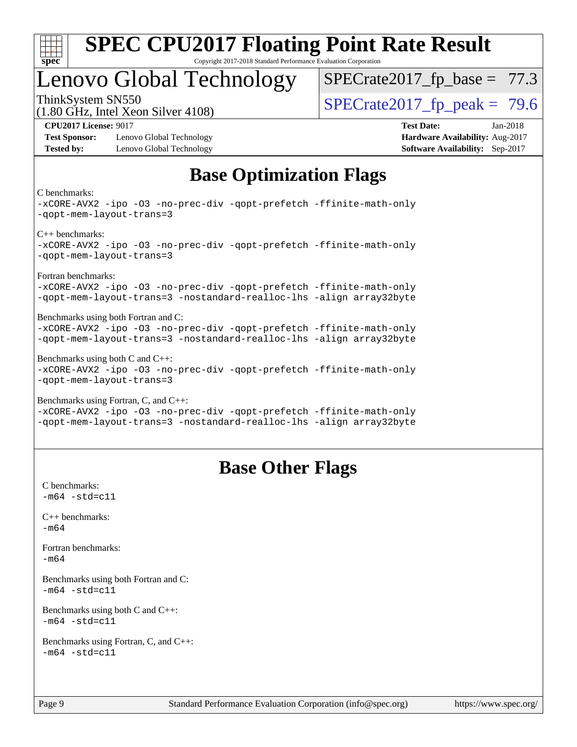

# Lenovo Global Technology

 $SPECrate2017_fp\_base = 77.3$ 

(1.80 GHz, Intel Xeon Silver 4108) ThinkSystem SN550<br>  $\text{SPECrate2017\_fp\_peak} = 79.6$ 

**[Test Sponsor:](http://www.spec.org/auto/cpu2017/Docs/result-fields.html#TestSponsor)** Lenovo Global Technology **[Hardware Availability:](http://www.spec.org/auto/cpu2017/Docs/result-fields.html#HardwareAvailability)** Aug-2017 **[Tested by:](http://www.spec.org/auto/cpu2017/Docs/result-fields.html#Testedby)** Lenovo Global Technology **[Software Availability:](http://www.spec.org/auto/cpu2017/Docs/result-fields.html#SoftwareAvailability)** Sep-2017

**[CPU2017 License:](http://www.spec.org/auto/cpu2017/Docs/result-fields.html#CPU2017License)** 9017 **[Test Date:](http://www.spec.org/auto/cpu2017/Docs/result-fields.html#TestDate)** Jan-2018

# **[Base Optimization Flags](http://www.spec.org/auto/cpu2017/Docs/result-fields.html#BaseOptimizationFlags)**

[C benchmarks:](http://www.spec.org/auto/cpu2017/Docs/result-fields.html#Cbenchmarks)

[-xCORE-AVX2](http://www.spec.org/cpu2017/results/res2018q1/cpu2017-20180122-03021.flags.html#user_CCbase_f-xCORE-AVX2) [-ipo](http://www.spec.org/cpu2017/results/res2018q1/cpu2017-20180122-03021.flags.html#user_CCbase_f-ipo) [-O3](http://www.spec.org/cpu2017/results/res2018q1/cpu2017-20180122-03021.flags.html#user_CCbase_f-O3) [-no-prec-div](http://www.spec.org/cpu2017/results/res2018q1/cpu2017-20180122-03021.flags.html#user_CCbase_f-no-prec-div) [-qopt-prefetch](http://www.spec.org/cpu2017/results/res2018q1/cpu2017-20180122-03021.flags.html#user_CCbase_f-qopt-prefetch) [-ffinite-math-only](http://www.spec.org/cpu2017/results/res2018q1/cpu2017-20180122-03021.flags.html#user_CCbase_f_finite_math_only_cb91587bd2077682c4b38af759c288ed7c732db004271a9512da14a4f8007909a5f1427ecbf1a0fb78ff2a814402c6114ac565ca162485bbcae155b5e4258871) [-qopt-mem-layout-trans=3](http://www.spec.org/cpu2017/results/res2018q1/cpu2017-20180122-03021.flags.html#user_CCbase_f-qopt-mem-layout-trans_de80db37974c74b1f0e20d883f0b675c88c3b01e9d123adea9b28688d64333345fb62bc4a798493513fdb68f60282f9a726aa07f478b2f7113531aecce732043) [C++ benchmarks](http://www.spec.org/auto/cpu2017/Docs/result-fields.html#CXXbenchmarks): [-xCORE-AVX2](http://www.spec.org/cpu2017/results/res2018q1/cpu2017-20180122-03021.flags.html#user_CXXbase_f-xCORE-AVX2) [-ipo](http://www.spec.org/cpu2017/results/res2018q1/cpu2017-20180122-03021.flags.html#user_CXXbase_f-ipo) [-O3](http://www.spec.org/cpu2017/results/res2018q1/cpu2017-20180122-03021.flags.html#user_CXXbase_f-O3) [-no-prec-div](http://www.spec.org/cpu2017/results/res2018q1/cpu2017-20180122-03021.flags.html#user_CXXbase_f-no-prec-div) [-qopt-prefetch](http://www.spec.org/cpu2017/results/res2018q1/cpu2017-20180122-03021.flags.html#user_CXXbase_f-qopt-prefetch) [-ffinite-math-only](http://www.spec.org/cpu2017/results/res2018q1/cpu2017-20180122-03021.flags.html#user_CXXbase_f_finite_math_only_cb91587bd2077682c4b38af759c288ed7c732db004271a9512da14a4f8007909a5f1427ecbf1a0fb78ff2a814402c6114ac565ca162485bbcae155b5e4258871) [-qopt-mem-layout-trans=3](http://www.spec.org/cpu2017/results/res2018q1/cpu2017-20180122-03021.flags.html#user_CXXbase_f-qopt-mem-layout-trans_de80db37974c74b1f0e20d883f0b675c88c3b01e9d123adea9b28688d64333345fb62bc4a798493513fdb68f60282f9a726aa07f478b2f7113531aecce732043) [Fortran benchmarks:](http://www.spec.org/auto/cpu2017/Docs/result-fields.html#Fortranbenchmarks) [-xCORE-AVX2](http://www.spec.org/cpu2017/results/res2018q1/cpu2017-20180122-03021.flags.html#user_FCbase_f-xCORE-AVX2) [-ipo](http://www.spec.org/cpu2017/results/res2018q1/cpu2017-20180122-03021.flags.html#user_FCbase_f-ipo) [-O3](http://www.spec.org/cpu2017/results/res2018q1/cpu2017-20180122-03021.flags.html#user_FCbase_f-O3) [-no-prec-div](http://www.spec.org/cpu2017/results/res2018q1/cpu2017-20180122-03021.flags.html#user_FCbase_f-no-prec-div) [-qopt-prefetch](http://www.spec.org/cpu2017/results/res2018q1/cpu2017-20180122-03021.flags.html#user_FCbase_f-qopt-prefetch) [-ffinite-math-only](http://www.spec.org/cpu2017/results/res2018q1/cpu2017-20180122-03021.flags.html#user_FCbase_f_finite_math_only_cb91587bd2077682c4b38af759c288ed7c732db004271a9512da14a4f8007909a5f1427ecbf1a0fb78ff2a814402c6114ac565ca162485bbcae155b5e4258871) [-qopt-mem-layout-trans=3](http://www.spec.org/cpu2017/results/res2018q1/cpu2017-20180122-03021.flags.html#user_FCbase_f-qopt-mem-layout-trans_de80db37974c74b1f0e20d883f0b675c88c3b01e9d123adea9b28688d64333345fb62bc4a798493513fdb68f60282f9a726aa07f478b2f7113531aecce732043) [-nostandard-realloc-lhs](http://www.spec.org/cpu2017/results/res2018q1/cpu2017-20180122-03021.flags.html#user_FCbase_f_2003_std_realloc_82b4557e90729c0f113870c07e44d33d6f5a304b4f63d4c15d2d0f1fab99f5daaed73bdb9275d9ae411527f28b936061aa8b9c8f2d63842963b95c9dd6426b8a) [-align array32byte](http://www.spec.org/cpu2017/results/res2018q1/cpu2017-20180122-03021.flags.html#user_FCbase_align_array32byte_b982fe038af199962ba9a80c053b8342c548c85b40b8e86eb3cc33dee0d7986a4af373ac2d51c3f7cf710a18d62fdce2948f201cd044323541f22fc0fffc51b6) [Benchmarks using both Fortran and C:](http://www.spec.org/auto/cpu2017/Docs/result-fields.html#BenchmarksusingbothFortranandC) [-xCORE-AVX2](http://www.spec.org/cpu2017/results/res2018q1/cpu2017-20180122-03021.flags.html#user_CC_FCbase_f-xCORE-AVX2) [-ipo](http://www.spec.org/cpu2017/results/res2018q1/cpu2017-20180122-03021.flags.html#user_CC_FCbase_f-ipo) [-O3](http://www.spec.org/cpu2017/results/res2018q1/cpu2017-20180122-03021.flags.html#user_CC_FCbase_f-O3) [-no-prec-div](http://www.spec.org/cpu2017/results/res2018q1/cpu2017-20180122-03021.flags.html#user_CC_FCbase_f-no-prec-div) [-qopt-prefetch](http://www.spec.org/cpu2017/results/res2018q1/cpu2017-20180122-03021.flags.html#user_CC_FCbase_f-qopt-prefetch) [-ffinite-math-only](http://www.spec.org/cpu2017/results/res2018q1/cpu2017-20180122-03021.flags.html#user_CC_FCbase_f_finite_math_only_cb91587bd2077682c4b38af759c288ed7c732db004271a9512da14a4f8007909a5f1427ecbf1a0fb78ff2a814402c6114ac565ca162485bbcae155b5e4258871) [-qopt-mem-layout-trans=3](http://www.spec.org/cpu2017/results/res2018q1/cpu2017-20180122-03021.flags.html#user_CC_FCbase_f-qopt-mem-layout-trans_de80db37974c74b1f0e20d883f0b675c88c3b01e9d123adea9b28688d64333345fb62bc4a798493513fdb68f60282f9a726aa07f478b2f7113531aecce732043) [-nostandard-realloc-lhs](http://www.spec.org/cpu2017/results/res2018q1/cpu2017-20180122-03021.flags.html#user_CC_FCbase_f_2003_std_realloc_82b4557e90729c0f113870c07e44d33d6f5a304b4f63d4c15d2d0f1fab99f5daaed73bdb9275d9ae411527f28b936061aa8b9c8f2d63842963b95c9dd6426b8a) [-align array32byte](http://www.spec.org/cpu2017/results/res2018q1/cpu2017-20180122-03021.flags.html#user_CC_FCbase_align_array32byte_b982fe038af199962ba9a80c053b8342c548c85b40b8e86eb3cc33dee0d7986a4af373ac2d51c3f7cf710a18d62fdce2948f201cd044323541f22fc0fffc51b6) [Benchmarks using both C and C++](http://www.spec.org/auto/cpu2017/Docs/result-fields.html#BenchmarksusingbothCandCXX): [-xCORE-AVX2](http://www.spec.org/cpu2017/results/res2018q1/cpu2017-20180122-03021.flags.html#user_CC_CXXbase_f-xCORE-AVX2) [-ipo](http://www.spec.org/cpu2017/results/res2018q1/cpu2017-20180122-03021.flags.html#user_CC_CXXbase_f-ipo) [-O3](http://www.spec.org/cpu2017/results/res2018q1/cpu2017-20180122-03021.flags.html#user_CC_CXXbase_f-O3) [-no-prec-div](http://www.spec.org/cpu2017/results/res2018q1/cpu2017-20180122-03021.flags.html#user_CC_CXXbase_f-no-prec-div) [-qopt-prefetch](http://www.spec.org/cpu2017/results/res2018q1/cpu2017-20180122-03021.flags.html#user_CC_CXXbase_f-qopt-prefetch) [-ffinite-math-only](http://www.spec.org/cpu2017/results/res2018q1/cpu2017-20180122-03021.flags.html#user_CC_CXXbase_f_finite_math_only_cb91587bd2077682c4b38af759c288ed7c732db004271a9512da14a4f8007909a5f1427ecbf1a0fb78ff2a814402c6114ac565ca162485bbcae155b5e4258871) [-qopt-mem-layout-trans=3](http://www.spec.org/cpu2017/results/res2018q1/cpu2017-20180122-03021.flags.html#user_CC_CXXbase_f-qopt-mem-layout-trans_de80db37974c74b1f0e20d883f0b675c88c3b01e9d123adea9b28688d64333345fb62bc4a798493513fdb68f60282f9a726aa07f478b2f7113531aecce732043) [Benchmarks using Fortran, C, and C++](http://www.spec.org/auto/cpu2017/Docs/result-fields.html#BenchmarksusingFortranCandCXX): [-xCORE-AVX2](http://www.spec.org/cpu2017/results/res2018q1/cpu2017-20180122-03021.flags.html#user_CC_CXX_FCbase_f-xCORE-AVX2) [-ipo](http://www.spec.org/cpu2017/results/res2018q1/cpu2017-20180122-03021.flags.html#user_CC_CXX_FCbase_f-ipo) [-O3](http://www.spec.org/cpu2017/results/res2018q1/cpu2017-20180122-03021.flags.html#user_CC_CXX_FCbase_f-O3) [-no-prec-div](http://www.spec.org/cpu2017/results/res2018q1/cpu2017-20180122-03021.flags.html#user_CC_CXX_FCbase_f-no-prec-div) [-qopt-prefetch](http://www.spec.org/cpu2017/results/res2018q1/cpu2017-20180122-03021.flags.html#user_CC_CXX_FCbase_f-qopt-prefetch) [-ffinite-math-only](http://www.spec.org/cpu2017/results/res2018q1/cpu2017-20180122-03021.flags.html#user_CC_CXX_FCbase_f_finite_math_only_cb91587bd2077682c4b38af759c288ed7c732db004271a9512da14a4f8007909a5f1427ecbf1a0fb78ff2a814402c6114ac565ca162485bbcae155b5e4258871) [-qopt-mem-layout-trans=3](http://www.spec.org/cpu2017/results/res2018q1/cpu2017-20180122-03021.flags.html#user_CC_CXX_FCbase_f-qopt-mem-layout-trans_de80db37974c74b1f0e20d883f0b675c88c3b01e9d123adea9b28688d64333345fb62bc4a798493513fdb68f60282f9a726aa07f478b2f7113531aecce732043) [-nostandard-realloc-lhs](http://www.spec.org/cpu2017/results/res2018q1/cpu2017-20180122-03021.flags.html#user_CC_CXX_FCbase_f_2003_std_realloc_82b4557e90729c0f113870c07e44d33d6f5a304b4f63d4c15d2d0f1fab99f5daaed73bdb9275d9ae411527f28b936061aa8b9c8f2d63842963b95c9dd6426b8a) [-align array32byte](http://www.spec.org/cpu2017/results/res2018q1/cpu2017-20180122-03021.flags.html#user_CC_CXX_FCbase_align_array32byte_b982fe038af199962ba9a80c053b8342c548c85b40b8e86eb3cc33dee0d7986a4af373ac2d51c3f7cf710a18d62fdce2948f201cd044323541f22fc0fffc51b6)

# **[Base Other Flags](http://www.spec.org/auto/cpu2017/Docs/result-fields.html#BaseOtherFlags)**

[C benchmarks](http://www.spec.org/auto/cpu2017/Docs/result-fields.html#Cbenchmarks):  $-m64 - std = c11$  $-m64 - std = c11$ [C++ benchmarks:](http://www.spec.org/auto/cpu2017/Docs/result-fields.html#CXXbenchmarks) [-m64](http://www.spec.org/cpu2017/results/res2018q1/cpu2017-20180122-03021.flags.html#user_CXXbase_intel_intel64_18.0_af43caccfc8ded86e7699f2159af6efc7655f51387b94da716254467f3c01020a5059329e2569e4053f409e7c9202a7efc638f7a6d1ffb3f52dea4a3e31d82ab) [Fortran benchmarks](http://www.spec.org/auto/cpu2017/Docs/result-fields.html#Fortranbenchmarks): [-m64](http://www.spec.org/cpu2017/results/res2018q1/cpu2017-20180122-03021.flags.html#user_FCbase_intel_intel64_18.0_af43caccfc8ded86e7699f2159af6efc7655f51387b94da716254467f3c01020a5059329e2569e4053f409e7c9202a7efc638f7a6d1ffb3f52dea4a3e31d82ab) [Benchmarks using both Fortran and C](http://www.spec.org/auto/cpu2017/Docs/result-fields.html#BenchmarksusingbothFortranandC):  $-m64$   $-std=cl1$ [Benchmarks using both C and C++](http://www.spec.org/auto/cpu2017/Docs/result-fields.html#BenchmarksusingbothCandCXX):  $-m64 - std= c11$  $-m64 - std= c11$ [Benchmarks using Fortran, C, and C++:](http://www.spec.org/auto/cpu2017/Docs/result-fields.html#BenchmarksusingFortranCandCXX)  $-m64 - std = c11$  $-m64 - std = c11$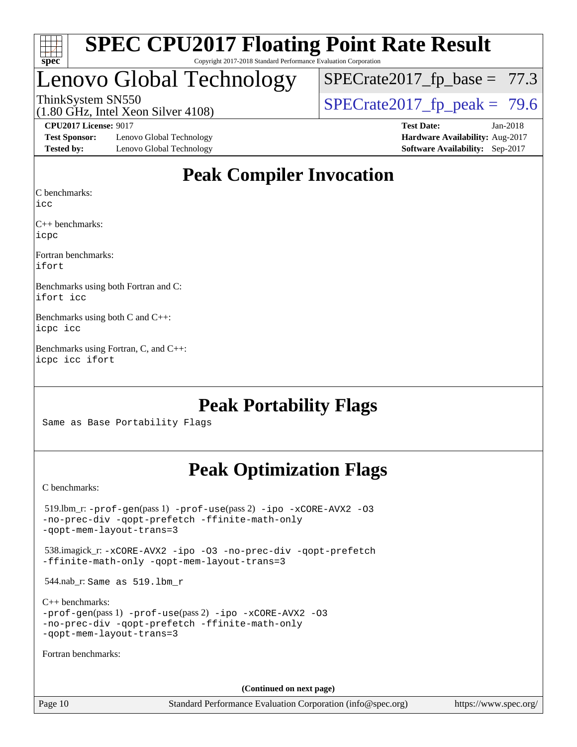

# Lenovo Global Technology

 $SPECTate2017_fp\_base = 77.3$ 

(1.80 GHz, Intel Xeon Silver 4108)

ThinkSystem SN550<br>(1.80 GHz, Intel Xeon Silver 4108)  $\begin{array}{r} | \text{SPECrate2017\_fp\_peak} = 79.6 \end{array}$ 

**[Test Sponsor:](http://www.spec.org/auto/cpu2017/Docs/result-fields.html#TestSponsor)** Lenovo Global Technology **[Hardware Availability:](http://www.spec.org/auto/cpu2017/Docs/result-fields.html#HardwareAvailability)** Aug-2017 **[Tested by:](http://www.spec.org/auto/cpu2017/Docs/result-fields.html#Testedby)** Lenovo Global Technology **[Software Availability:](http://www.spec.org/auto/cpu2017/Docs/result-fields.html#SoftwareAvailability)** Sep-2017

**[CPU2017 License:](http://www.spec.org/auto/cpu2017/Docs/result-fields.html#CPU2017License)** 9017 **[Test Date:](http://www.spec.org/auto/cpu2017/Docs/result-fields.html#TestDate)** Jan-2018

# **[Peak Compiler Invocation](http://www.spec.org/auto/cpu2017/Docs/result-fields.html#PeakCompilerInvocation)**

[C benchmarks](http://www.spec.org/auto/cpu2017/Docs/result-fields.html#Cbenchmarks):

[icc](http://www.spec.org/cpu2017/results/res2018q1/cpu2017-20180122-03021.flags.html#user_CCpeak_intel_icc_18.0_66fc1ee009f7361af1fbd72ca7dcefbb700085f36577c54f309893dd4ec40d12360134090235512931783d35fd58c0460139e722d5067c5574d8eaf2b3e37e92)

[C++ benchmarks:](http://www.spec.org/auto/cpu2017/Docs/result-fields.html#CXXbenchmarks) [icpc](http://www.spec.org/cpu2017/results/res2018q1/cpu2017-20180122-03021.flags.html#user_CXXpeak_intel_icpc_18.0_c510b6838c7f56d33e37e94d029a35b4a7bccf4766a728ee175e80a419847e808290a9b78be685c44ab727ea267ec2f070ec5dc83b407c0218cded6866a35d07)

[Fortran benchmarks](http://www.spec.org/auto/cpu2017/Docs/result-fields.html#Fortranbenchmarks): [ifort](http://www.spec.org/cpu2017/results/res2018q1/cpu2017-20180122-03021.flags.html#user_FCpeak_intel_ifort_18.0_8111460550e3ca792625aed983ce982f94888b8b503583aa7ba2b8303487b4d8a21a13e7191a45c5fd58ff318f48f9492884d4413fa793fd88dd292cad7027ca)

[Benchmarks using both Fortran and C](http://www.spec.org/auto/cpu2017/Docs/result-fields.html#BenchmarksusingbothFortranandC): [ifort](http://www.spec.org/cpu2017/results/res2018q1/cpu2017-20180122-03021.flags.html#user_CC_FCpeak_intel_ifort_18.0_8111460550e3ca792625aed983ce982f94888b8b503583aa7ba2b8303487b4d8a21a13e7191a45c5fd58ff318f48f9492884d4413fa793fd88dd292cad7027ca) [icc](http://www.spec.org/cpu2017/results/res2018q1/cpu2017-20180122-03021.flags.html#user_CC_FCpeak_intel_icc_18.0_66fc1ee009f7361af1fbd72ca7dcefbb700085f36577c54f309893dd4ec40d12360134090235512931783d35fd58c0460139e722d5067c5574d8eaf2b3e37e92)

[Benchmarks using both C and C++:](http://www.spec.org/auto/cpu2017/Docs/result-fields.html#BenchmarksusingbothCandCXX) [icpc](http://www.spec.org/cpu2017/results/res2018q1/cpu2017-20180122-03021.flags.html#user_CC_CXXpeak_intel_icpc_18.0_c510b6838c7f56d33e37e94d029a35b4a7bccf4766a728ee175e80a419847e808290a9b78be685c44ab727ea267ec2f070ec5dc83b407c0218cded6866a35d07) [icc](http://www.spec.org/cpu2017/results/res2018q1/cpu2017-20180122-03021.flags.html#user_CC_CXXpeak_intel_icc_18.0_66fc1ee009f7361af1fbd72ca7dcefbb700085f36577c54f309893dd4ec40d12360134090235512931783d35fd58c0460139e722d5067c5574d8eaf2b3e37e92)

[Benchmarks using Fortran, C, and C++](http://www.spec.org/auto/cpu2017/Docs/result-fields.html#BenchmarksusingFortranCandCXX): [icpc](http://www.spec.org/cpu2017/results/res2018q1/cpu2017-20180122-03021.flags.html#user_CC_CXX_FCpeak_intel_icpc_18.0_c510b6838c7f56d33e37e94d029a35b4a7bccf4766a728ee175e80a419847e808290a9b78be685c44ab727ea267ec2f070ec5dc83b407c0218cded6866a35d07) [icc](http://www.spec.org/cpu2017/results/res2018q1/cpu2017-20180122-03021.flags.html#user_CC_CXX_FCpeak_intel_icc_18.0_66fc1ee009f7361af1fbd72ca7dcefbb700085f36577c54f309893dd4ec40d12360134090235512931783d35fd58c0460139e722d5067c5574d8eaf2b3e37e92) [ifort](http://www.spec.org/cpu2017/results/res2018q1/cpu2017-20180122-03021.flags.html#user_CC_CXX_FCpeak_intel_ifort_18.0_8111460550e3ca792625aed983ce982f94888b8b503583aa7ba2b8303487b4d8a21a13e7191a45c5fd58ff318f48f9492884d4413fa793fd88dd292cad7027ca)

# **[Peak Portability Flags](http://www.spec.org/auto/cpu2017/Docs/result-fields.html#PeakPortabilityFlags)**

Same as Base Portability Flags

# **[Peak Optimization Flags](http://www.spec.org/auto/cpu2017/Docs/result-fields.html#PeakOptimizationFlags)**

[C benchmarks](http://www.spec.org/auto/cpu2017/Docs/result-fields.html#Cbenchmarks):

 519.lbm\_r: [-prof-gen](http://www.spec.org/cpu2017/results/res2018q1/cpu2017-20180122-03021.flags.html#user_peakPASS1_CFLAGSPASS1_LDFLAGS519_lbm_r_prof_gen_5aa4926d6013ddb2a31985c654b3eb18169fc0c6952a63635c234f711e6e63dd76e94ad52365559451ec499a2cdb89e4dc58ba4c67ef54ca681ffbe1461d6b36)(pass 1) [-prof-use](http://www.spec.org/cpu2017/results/res2018q1/cpu2017-20180122-03021.flags.html#user_peakPASS2_CFLAGSPASS2_LDFLAGS519_lbm_r_prof_use_1a21ceae95f36a2b53c25747139a6c16ca95bd9def2a207b4f0849963b97e94f5260e30a0c64f4bb623698870e679ca08317ef8150905d41bd88c6f78df73f19)(pass 2) [-ipo](http://www.spec.org/cpu2017/results/res2018q1/cpu2017-20180122-03021.flags.html#user_peakPASS1_COPTIMIZEPASS2_COPTIMIZE519_lbm_r_f-ipo) [-xCORE-AVX2](http://www.spec.org/cpu2017/results/res2018q1/cpu2017-20180122-03021.flags.html#user_peakPASS2_COPTIMIZE519_lbm_r_f-xCORE-AVX2) [-O3](http://www.spec.org/cpu2017/results/res2018q1/cpu2017-20180122-03021.flags.html#user_peakPASS1_COPTIMIZEPASS2_COPTIMIZE519_lbm_r_f-O3) [-no-prec-div](http://www.spec.org/cpu2017/results/res2018q1/cpu2017-20180122-03021.flags.html#user_peakPASS1_COPTIMIZEPASS2_COPTIMIZE519_lbm_r_f-no-prec-div) [-qopt-prefetch](http://www.spec.org/cpu2017/results/res2018q1/cpu2017-20180122-03021.flags.html#user_peakPASS1_COPTIMIZEPASS2_COPTIMIZE519_lbm_r_f-qopt-prefetch) [-ffinite-math-only](http://www.spec.org/cpu2017/results/res2018q1/cpu2017-20180122-03021.flags.html#user_peakPASS1_COPTIMIZEPASS2_COPTIMIZE519_lbm_r_f_finite_math_only_cb91587bd2077682c4b38af759c288ed7c732db004271a9512da14a4f8007909a5f1427ecbf1a0fb78ff2a814402c6114ac565ca162485bbcae155b5e4258871) [-qopt-mem-layout-trans=3](http://www.spec.org/cpu2017/results/res2018q1/cpu2017-20180122-03021.flags.html#user_peakPASS1_COPTIMIZEPASS2_COPTIMIZE519_lbm_r_f-qopt-mem-layout-trans_de80db37974c74b1f0e20d883f0b675c88c3b01e9d123adea9b28688d64333345fb62bc4a798493513fdb68f60282f9a726aa07f478b2f7113531aecce732043) 538.imagick\_r: [-xCORE-AVX2](http://www.spec.org/cpu2017/results/res2018q1/cpu2017-20180122-03021.flags.html#user_peakCOPTIMIZE538_imagick_r_f-xCORE-AVX2) [-ipo](http://www.spec.org/cpu2017/results/res2018q1/cpu2017-20180122-03021.flags.html#user_peakCOPTIMIZE538_imagick_r_f-ipo) [-O3](http://www.spec.org/cpu2017/results/res2018q1/cpu2017-20180122-03021.flags.html#user_peakCOPTIMIZE538_imagick_r_f-O3) [-no-prec-div](http://www.spec.org/cpu2017/results/res2018q1/cpu2017-20180122-03021.flags.html#user_peakCOPTIMIZE538_imagick_r_f-no-prec-div) [-qopt-prefetch](http://www.spec.org/cpu2017/results/res2018q1/cpu2017-20180122-03021.flags.html#user_peakCOPTIMIZE538_imagick_r_f-qopt-prefetch) [-ffinite-math-only](http://www.spec.org/cpu2017/results/res2018q1/cpu2017-20180122-03021.flags.html#user_peakCOPTIMIZE538_imagick_r_f_finite_math_only_cb91587bd2077682c4b38af759c288ed7c732db004271a9512da14a4f8007909a5f1427ecbf1a0fb78ff2a814402c6114ac565ca162485bbcae155b5e4258871) [-qopt-mem-layout-trans=3](http://www.spec.org/cpu2017/results/res2018q1/cpu2017-20180122-03021.flags.html#user_peakCOPTIMIZE538_imagick_r_f-qopt-mem-layout-trans_de80db37974c74b1f0e20d883f0b675c88c3b01e9d123adea9b28688d64333345fb62bc4a798493513fdb68f60282f9a726aa07f478b2f7113531aecce732043) 544.nab\_r: Same as 519.lbm\_r [C++ benchmarks:](http://www.spec.org/auto/cpu2017/Docs/result-fields.html#CXXbenchmarks) [-prof-gen](http://www.spec.org/cpu2017/results/res2018q1/cpu2017-20180122-03021.flags.html#user_CXXpeak_prof_gen_5aa4926d6013ddb2a31985c654b3eb18169fc0c6952a63635c234f711e6e63dd76e94ad52365559451ec499a2cdb89e4dc58ba4c67ef54ca681ffbe1461d6b36)(pass 1) [-prof-use](http://www.spec.org/cpu2017/results/res2018q1/cpu2017-20180122-03021.flags.html#user_CXXpeak_prof_use_1a21ceae95f36a2b53c25747139a6c16ca95bd9def2a207b4f0849963b97e94f5260e30a0c64f4bb623698870e679ca08317ef8150905d41bd88c6f78df73f19)(pass 2) [-ipo](http://www.spec.org/cpu2017/results/res2018q1/cpu2017-20180122-03021.flags.html#user_CXXpeak_f-ipo) [-xCORE-AVX2](http://www.spec.org/cpu2017/results/res2018q1/cpu2017-20180122-03021.flags.html#user_CXXpeak_f-xCORE-AVX2) [-O3](http://www.spec.org/cpu2017/results/res2018q1/cpu2017-20180122-03021.flags.html#user_CXXpeak_f-O3) [-no-prec-div](http://www.spec.org/cpu2017/results/res2018q1/cpu2017-20180122-03021.flags.html#user_CXXpeak_f-no-prec-div) [-qopt-prefetch](http://www.spec.org/cpu2017/results/res2018q1/cpu2017-20180122-03021.flags.html#user_CXXpeak_f-qopt-prefetch) [-ffinite-math-only](http://www.spec.org/cpu2017/results/res2018q1/cpu2017-20180122-03021.flags.html#user_CXXpeak_f_finite_math_only_cb91587bd2077682c4b38af759c288ed7c732db004271a9512da14a4f8007909a5f1427ecbf1a0fb78ff2a814402c6114ac565ca162485bbcae155b5e4258871) [-qopt-mem-layout-trans=3](http://www.spec.org/cpu2017/results/res2018q1/cpu2017-20180122-03021.flags.html#user_CXXpeak_f-qopt-mem-layout-trans_de80db37974c74b1f0e20d883f0b675c88c3b01e9d123adea9b28688d64333345fb62bc4a798493513fdb68f60282f9a726aa07f478b2f7113531aecce732043) [Fortran benchmarks](http://www.spec.org/auto/cpu2017/Docs/result-fields.html#Fortranbenchmarks): **(Continued on next page)**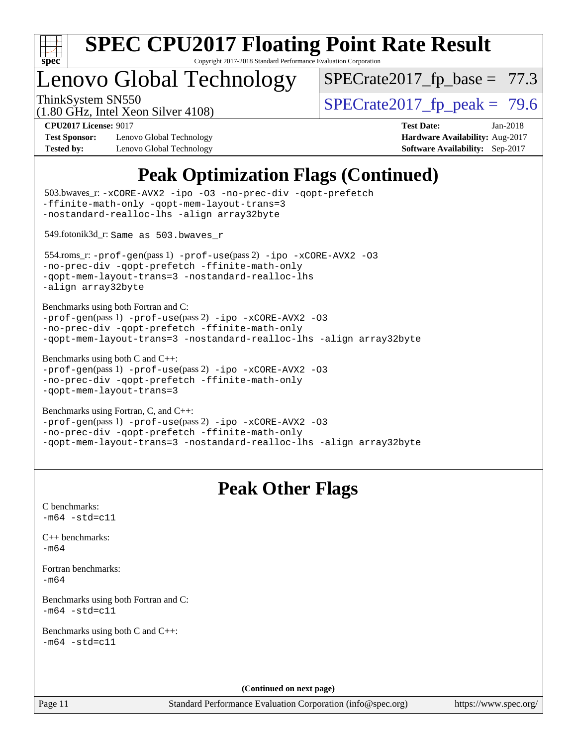

# Lenovo Global Technology

 $SPECTate2017_fp\_base = 77.3$ 

(1.80 GHz, Intel Xeon Silver 4108)

ThinkSystem SN550<br>(1.80 GHz, Intel Xeon Silver 4108)  $\begin{array}{r} | \text{SPECrate2017\_fp\_peak} = 79.6 \end{array}$ 

**[Test Sponsor:](http://www.spec.org/auto/cpu2017/Docs/result-fields.html#TestSponsor)** Lenovo Global Technology **[Hardware Availability:](http://www.spec.org/auto/cpu2017/Docs/result-fields.html#HardwareAvailability)** Aug-2017 **[Tested by:](http://www.spec.org/auto/cpu2017/Docs/result-fields.html#Testedby)** Lenovo Global Technology **[Software Availability:](http://www.spec.org/auto/cpu2017/Docs/result-fields.html#SoftwareAvailability)** Sep-2017

**[CPU2017 License:](http://www.spec.org/auto/cpu2017/Docs/result-fields.html#CPU2017License)** 9017 **[Test Date:](http://www.spec.org/auto/cpu2017/Docs/result-fields.html#TestDate)** Jan-2018

# **[Peak Optimization Flags \(Continued\)](http://www.spec.org/auto/cpu2017/Docs/result-fields.html#PeakOptimizationFlags)**

```
(info@spec.org)https://www.spec.org/
  503.bwaves_r: -xCORE-AVX2 -ipo -O3 -no-prec-div -qopt-prefetch
-ffinite-math-only -qopt-mem-layout-trans=3
-nostandard-realloc-lhs -align array32byte
  549.fotonik3d_r: Same as 503.bwaves_r
  554.roms_r: -prof-gen(pass 1) -prof-use(pass 2) -ipo -xCORE-AVX2 -O3
-no-prec-div -qopt-prefetch -ffinite-math-only
-qopt-mem-layout-trans=3 -nostandard-realloc-lhs
-align array32byte
Benchmarks using both Fortran and C: 
-prof-gen(pass 1) -prof-use(pass 2) -ipo -xCORE-AVX2 -O3
-no-prec-div -qopt-prefetch -ffinite-math-only
-qopt-mem-layout-trans=3 -nostandard-realloc-lhs -align array32byte
Benchmarks using both C and C++: 
-prof-gen(pass 1) -prof-use(pass 2) -ipo -xCORE-AVX2 -O3
-no-prec-div -qopt-prefetch -ffinite-math-only
-qopt-mem-layout-trans=3
Benchmarks using Fortran, C, and C++: 
-prof-gen(pass 1) -prof-use(pass 2) -ipo -xCORE-AVX2 -O3
-no-prec-div -qopt-prefetch -ffinite-math-only
-qopt-mem-layout-trans=3 -nostandard-realloc-lhs -align array32byte
                                 Peak Other Flags
C benchmarks: 
-m64 - std= c11C++ benchmarks: 
-m64Fortran benchmarks: 
-m64
Benchmarks using both Fortran and C: 
-m64 - std= c11Benchmarks using both C and C++: 
-m64 - std= c11(Continued on next page)
```